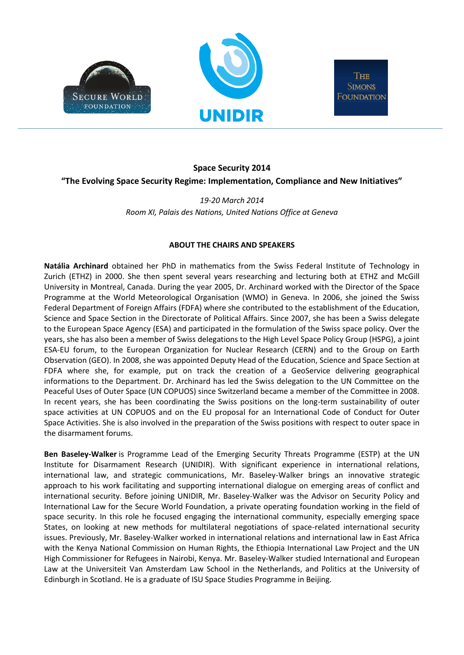



THE **SIMONS FOUNDATION** 

## **Space Security 2014**

**"The Evolving Space Security Regime: Implementation, Compliance and New Initiatives"**

*19-20 March 2014 Room XI, Palais des Nations, United Nations Office at Geneva*

## **ABOUT THE CHAIRS AND SPEAKERS**

**Natália Archinard** obtained her PhD in mathematics from the Swiss Federal Institute of Technology in Zurich (ETHZ) in 2000. She then spent several years researching and lecturing both at ETHZ and McGill University in Montreal, Canada. During the year 2005, Dr. Archinard worked with the Director of the Space Programme at the World Meteorological Organisation (WMO) in Geneva. In 2006, she joined the Swiss Federal Department of Foreign Affairs (FDFA) where she contributed to the establishment of the Education, Science and Space Section in the Directorate of Political Affairs. Since 2007, she has been a Swiss delegate to the European Space Agency (ESA) and participated in the formulation of the Swiss space policy. Over the years, she has also been a member of Swiss delegations to the High Level Space Policy Group (HSPG), a joint ESA-EU forum, to the European Organization for Nuclear Research (CERN) and to the Group on Earth Observation (GEO). In 2008, she was appointed Deputy Head of the Education, Science and Space Section at FDFA where she, for example, put on track the creation of a GeoService delivering geographical informations to the Department. Dr. Archinard has led the Swiss delegation to the UN Committee on the Peaceful Uses of Outer Space (UN COPUOS) since Switzerland became a member of the Committee in 2008. In recent years, she has been coordinating the Swiss positions on the long-term sustainability of outer space activities at UN COPUOS and on the EU proposal for an International Code of Conduct for Outer Space Activities. She is also involved in the preparation of the Swiss positions with respect to outer space in the disarmament forums.

**Ben Baseley-Walker** is Programme Lead of the Emerging Security Threats Programme (ESTP) at the UN Institute for Disarmament Research (UNIDIR). With significant experience in international relations, international law, and strategic communications, Mr. Baseley-Walker brings an innovative strategic approach to his work facilitating and supporting international dialogue on emerging areas of conflict and international security. Before joining UNIDIR, Mr. Baseley-Walker was the Advisor on Security Policy and International Law for the Secure World Foundation, a private operating foundation working in the field of space security. In this role he focused engaging the international community, especially emerging space States, on looking at new methods for multilateral negotiations of space-related international security issues. Previously, Mr. Baseley-Walker worked in international relations and international law in East Africa with the Kenya National Commission on Human Rights, the Ethiopia International Law Project and the UN High Commissioner for Refugees in Nairobi, Kenya. Mr. Baseley-Walker studied International and European Law at the Universiteit Van Amsterdam Law School in the Netherlands, and Politics at the University of Edinburgh in Scotland. He is a graduate of ISU Space Studies Programme in Beijing.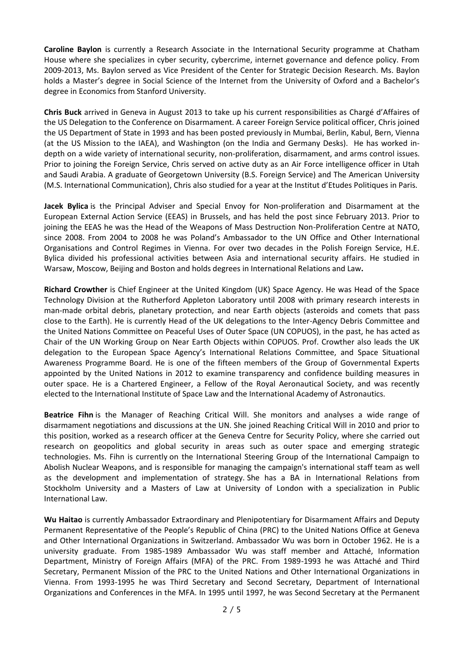**Caroline Baylon** is currently a Research Associate in the International Security programme at Chatham House where she specializes in cyber security, cybercrime, internet governance and defence policy. From 2009-2013, Ms. Baylon served as Vice President of the Center for Strategic Decision Research. Ms. Baylon holds a Master's degree in Social Science of the Internet from the University of Oxford and a Bachelor's degree in Economics from Stanford University.

**Chris Buck** arrived in Geneva in August 2013 to take up his current responsibilities as Chargé d'Affaires of the US Delegation to the Conference on Disarmament. A career Foreign Service political officer, Chris joined the US Department of State in 1993 and has been posted previously in Mumbai, Berlin, Kabul, Bern, Vienna (at the US Mission to the IAEA), and Washington (on the India and Germany Desks). He has worked indepth on a wide variety of international security, non-proliferation, disarmament, and arms control issues. Prior to joining the Foreign Service, Chris served on active duty as an Air Force intelligence officer in Utah and Saudi Arabia. A graduate of Georgetown University (B.S. Foreign Service) and The American University (M.S. International Communication), Chris also studied for a year at the Institut d'Etudes Politiques in Paris.

**Jacek Bylica** is the Principal Adviser and Special Envoy for Non-proliferation and Disarmament at the European External Action Service (EEAS) in Brussels, and has held the post since February 2013. Prior to joining the EEAS he was the Head of the Weapons of Mass Destruction Non-Proliferation Centre at NATO, since 2008. From 2004 to 2008 he was Poland's Ambassador to the UN Office and Other International Organisations and Control Regimes in Vienna. For over two decades in the Polish Foreign Service, H.E. Bylica divided his professional activities between Asia and international security affairs. He studied in Warsaw, Moscow, Beijing and Boston and holds degrees in International Relations and Law**.**

**Richard Crowther** is Chief Engineer at the United Kingdom (UK) Space Agency. He was Head of the Space Technology Division at the Rutherford Appleton Laboratory until 2008 with primary research interests in man-made orbital debris, planetary protection, and near Earth objects (asteroids and comets that pass close to the Earth). He is currently Head of the UK delegations to the Inter-Agency Debris Committee and the United Nations Committee on Peaceful Uses of Outer Space (UN COPUOS), in the past, he has acted as Chair of the UN Working Group on Near Earth Objects within COPUOS. Prof. Crowther also leads the UK delegation to the European Space Agency's International Relations Committee, and Space Situational Awareness Programme Board. He is one of the fifteen members of the Group of Governmental Experts appointed by the United Nations in 2012 to examine transparency and confidence building measures in outer space. He is a Chartered Engineer, a Fellow of the Royal Aeronautical Society, and was recently elected to the International Institute of Space Law and the International Academy of Astronautics.

**Beatrice Fihn** is the Manager of Reaching Critical Will. She monitors and analyses a wide range of disarmament negotiations and discussions at the UN. She joined Reaching Critical Will in 2010 and prior to this position, worked as a research officer at the Geneva Centre for Security Policy, where she carried out research on geopolitics and global security in areas such as outer space and emerging strategic technologies. Ms. Fihn is currently on the International Steering Group of the International Campaign to Abolish Nuclear Weapons, and is responsible for managing the campaign's international staff team as well as the development and implementation of strategy. She has a BA in International Relations from Stockholm University and a Masters of Law at University of London with a specialization in Public International Law.

**Wu Haitao** is currently Ambassador Extraordinary and Plenipotentiary for Disarmament Affairs and Deputy Permanent Representative of the People's Republic of China (PRC) to the United Nations Office at Geneva and Other International Organizations in Switzerland. Ambassador Wu was born in October 1962. He is a university graduate. From 1985-1989 Ambassador Wu was staff member and Attaché, Information Department, Ministry of Foreign Affairs (MFA) of the PRC. From 1989-1993 he was Attaché and Third Secretary, Permanent Mission of the PRC to the United Nations and Other International Organizations in Vienna. From 1993-1995 he was Third Secretary and Second Secretary, Department of International Organizations and Conferences in the MFA. In 1995 until 1997, he was Second Secretary at the Permanent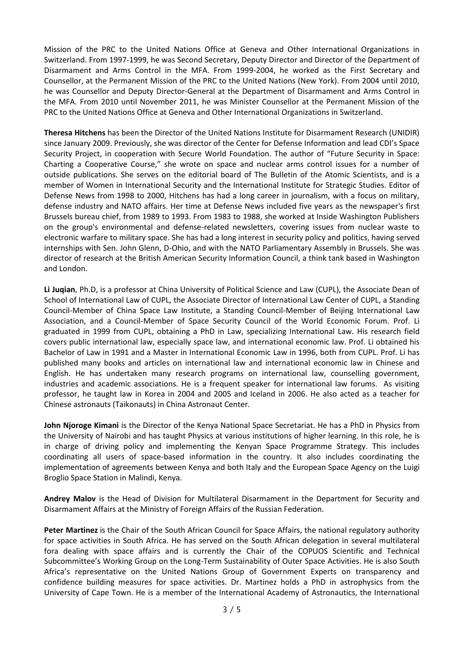Mission of the PRC to the United Nations Office at Geneva and Other International Organizations in Switzerland. From 1997-1999, he was Second Secretary, Deputy Director and Director of the Department of Disarmament and Arms Control in the MFA. From 1999-2004, he worked as the First Secretary and Counsellor, at the Permanent Mission of the PRC to the United Nations (New York). From 2004 until 2010, he was Counsellor and Deputy Director-General at the Department of Disarmament and Arms Control in the MFA. From 2010 until November 2011, he was Minister Counsellor at the Permanent Mission of the PRC to the United Nations Office at Geneva and Other International Organizations in Switzerland.

**Theresa Hitchens** has been the Director of the United Nations Institute for Disarmament Research (UNIDIR) since January 2009. Previously, she was director of the Center for Defense Information and lead CDI's Space Security Project, in cooperation with Secure World Foundation. The author of "Future Security in Space: Charting a Cooperative Course," she wrote on space and nuclear arms control issues for a number of outside publications. She serves on the editorial board of The Bulletin of the Atomic Scientists, and is a member of Women in International Security and the International Institute for Strategic Studies. Editor of Defense News from 1998 to 2000, Hitchens has had a long career in journalism, with a focus on military, defense industry and NATO affairs. Her time at Defense News included five years as the newspaper's first Brussels bureau chief, from 1989 to 1993. From 1983 to 1988, she worked at Inside Washington Publishers on the group's environmental and defense-related newsletters, covering issues from nuclear waste to electronic warfare to military space. She has had a long interest in security policy and politics, having served internships with Sen. John Glenn, D-Ohio, and with the NATO Parliamentary Assembly in Brussels. She was director of research at the British American Security Information Council, a think tank based in Washington and London.

**Li Juqian**, Ph.D, is a professor at China University of Political Science and Law (CUPL), the Associate Dean of School of International Law of CUPL, the Associate Director of International Law Center of CUPL, a Standing Council-Member of China Space Law Institute, a Standing Council-Member of Beijing International Law Association, and a Council-Member of Space Security Council of the World Economic Forum. Prof. Li graduated in 1999 from CUPL, obtaining a PhD in Law, specializing International Law. His research field covers public international law, especially space law, and international economic law. Prof. Li obtained his Bachelor of Law in 1991 and a Master in International Economic Law in 1996, both from CUPL. Prof. Li has published many books and articles on international law and international economic law in Chinese and English. He has undertaken many research programs on international law, counselling government, industries and academic associations. He is a frequent speaker for international law forums. As visiting professor, he taught law in Korea in 2004 and 2005 and Iceland in 2006. He also acted as a teacher for Chinese astronauts (Taikonauts) in China Astronaut Center.

**John Njoroge Kimani** is the Director of the Kenya National Space Secretariat. He has a PhD in Physics from the University of Nairobi and has taught Physics at various institutions of higher learning. In this role, he is in charge of driving policy and implementing the Kenyan Space Programme Strategy. This includes coordinating all users of space-based information in the country. It also includes coordinating the implementation of agreements between Kenya and both Italy and the European Space Agency on the Luigi Broglio Space Station in Malindi, Kenya.

**Andrey Malov** is the Head of Division for Multilateral Disarmament in the Department for Security and Disarmament Affairs at the Ministry of Foreign Affairs of the Russian Federation.

**Peter Martinez** is the Chair of the South African Council for Space Affairs, the national regulatory authority for space activities in South Africa. He has served on the South African delegation in several multilateral fora dealing with space affairs and is currently the Chair of the COPUOS Scientific and Technical Subcommittee's Working Group on the Long-Term Sustainability of Outer Space Activities. He is also South Africa's representative on the United Nations Group of Government Experts on transparency and confidence building measures for space activities. Dr. Martinez holds a PhD in astrophysics from the University of Cape Town. He is a member of the International Academy of Astronautics, the International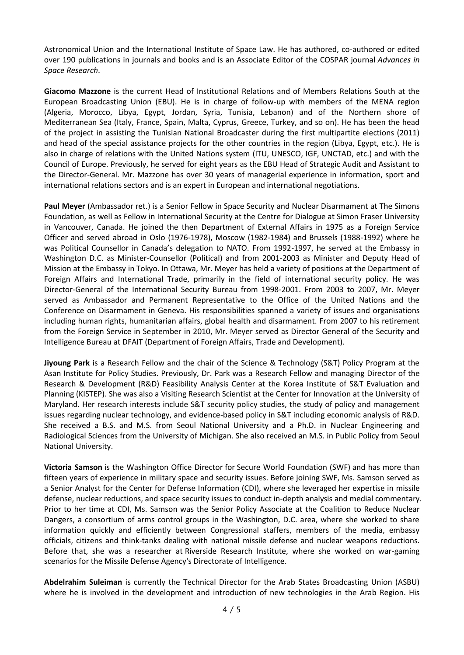Astronomical Union and the International Institute of Space Law. He has authored, co-authored or edited over 190 publications in journals and books and is an Associate Editor of the COSPAR journal *Advances in Space Research*.

**Giacomo Mazzone** is the current Head of Institutional Relations and of Members Relations South at the European Broadcasting Union (EBU). He is in charge of follow-up with members of the MENA region (Algeria, Morocco, Libya, Egypt, Jordan, Syria, Tunisia, Lebanon) and of the Northern shore of Mediterranean Sea (Italy, France, Spain, Malta, Cyprus, Greece, Turkey, and so on). He has been the head of the project in assisting the Tunisian National Broadcaster during the first multipartite elections (2011) and head of the special assistance projects for the other countries in the region (Libya, Egypt, etc.). He is also in charge of relations with the United Nations system (ITU, UNESCO, IGF, UNCTAD, etc.) and with the Council of Europe. Previously, he served for eight years as the EBU Head of Strategic Audit and Assistant to the Director-General. Mr. Mazzone has over 30 years of managerial experience in information, sport and international relations sectors and is an expert in European and international negotiations.

**Paul Meyer** (Ambassador ret.) is a Senior Fellow in Space Security and Nuclear Disarmament at The Simons Foundation, as well as Fellow in International Security at the Centre for Dialogue at Simon Fraser University in Vancouver, Canada. He joined the then Department of External Affairs in 1975 as a Foreign Service Officer and served abroad in Oslo (1976-1978), Moscow (1982-1984) and Brussels (1988-1992) where he was Political Counsellor in Canada's delegation to NATO. From 1992-1997, he served at the Embassy in Washington D.C. as Minister-Counsellor (Political) and from 2001-2003 as Minister and Deputy Head of Mission at the Embassy in Tokyo. In Ottawa, Mr. Meyer has held a variety of positions at the Department of Foreign Affairs and International Trade, primarily in the field of international security policy. He was Director-General of the International Security Bureau from 1998-2001. From 2003 to 2007, Mr. Meyer served as Ambassador and Permanent Representative to the Office of the United Nations and the Conference on Disarmament in Geneva. His responsibilities spanned a variety of issues and organisations including human rights, humanitarian affairs, global health and disarmament. From 2007 to his retirement from the Foreign Service in September in 2010, Mr. Meyer served as Director General of the Security and Intelligence Bureau at DFAIT (Department of Foreign Affairs, Trade and Development).

**Jiyoung Park** is a Research Fellow and the chair of the Science & Technology (S&T) Policy Program at the Asan Institute for Policy Studies. Previously, Dr. Park was a Research Fellow and managing Director of the Research & Development (R&D) Feasibility Analysis Center at the Korea Institute of S&T Evaluation and Planning (KISTEP). She was also a Visiting Research Scientist at the Center for Innovation at the University of Maryland. Her research interests include S&T security policy studies, the study of policy and management issues regarding nuclear technology, and evidence-based policy in S&T including economic analysis of R&D. She received a B.S. and M.S. from Seoul National University and a Ph.D. in Nuclear Engineering and Radiological Sciences from the University of Michigan. She also received an M.S. in Public Policy from Seoul National University.

**Victoria Samson** is the Washington Office Director for Secure World [Foundation](http://swfound.org/) (SWF) and has more than fifteen years of experience in military space and security issues. Before joining SWF, Ms. Samson served as a Senior Analyst for the Center for Defense Information (CDI), where she leveraged her expertise in missile defense, nuclear reductions, and space security issues to conduct in-depth analysis and medial commentary. Prior to her time at CDI, Ms. Samson was the Senior Policy Associate at the [Coalition](http://www.crnd.org/) to Reduce Nuclear [Dangers,](http://www.crnd.org/) a consortium of arms control groups in the Washington, D.C. area, where she worked to share information quickly and efficiently between Congressional staffers, members of the media, embassy officials, citizens and think-tanks dealing with national missile defense and nuclear weapons reductions. Before that, she was a researcher at Riverside [Research](http://www.riversideresearch.org/) Institute, where she worked on war-gaming scenarios for the Missile [Defense](http://www.mda.mil/) Agency's Directorate of Intelligence.

**Abdelrahim Suleiman** is currently the Technical Director for the Arab States Broadcasting Union (ASBU) where he is involved in the development and introduction of new technologies in the Arab Region. His